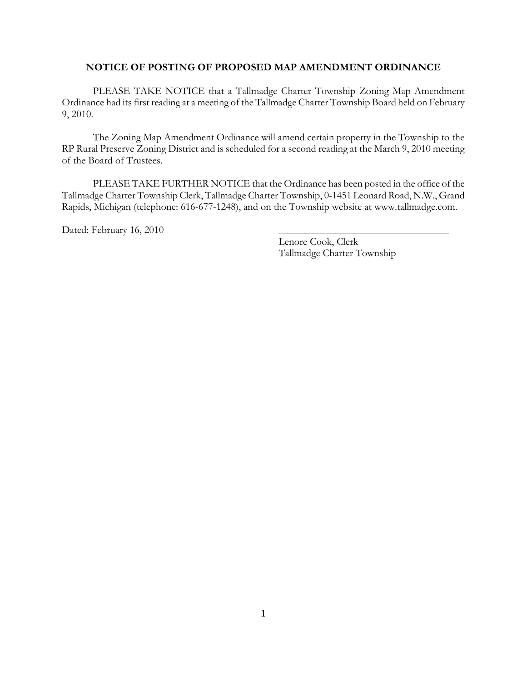## **NOTICE OF POSTING OF PROPOSED MAP AMENDMENT ORDINANCE**

PLEASE TAKE NOTICE that a Tallmadge Charter Township Zoning Map Amendment Ordinance had its first reading at a meeting of the Tallmadge Charter Township Board held on February 9, 2010.

The Zoning Map Amendment Ordinance will amend certain property in the Township to the RP Rural Preserve Zoning District and is scheduled for a second reading at the March 9, 2010 meeting of the Board of Trustees.

 PLEASE TAKE FURTHER NOTICE that the Ordinance has been posted in the office of the Tallmadge Charter Township Clerk, Tallmadge Charter Township, 0-1451 Leonard Road, N.W., Grand Rapids, Michigan (telephone: 616-677-1248), and on the Township website at www.tallmadge.com.

Dated: February 16, 2010

 Lenore Cook, Clerk Tallmadge Charter Township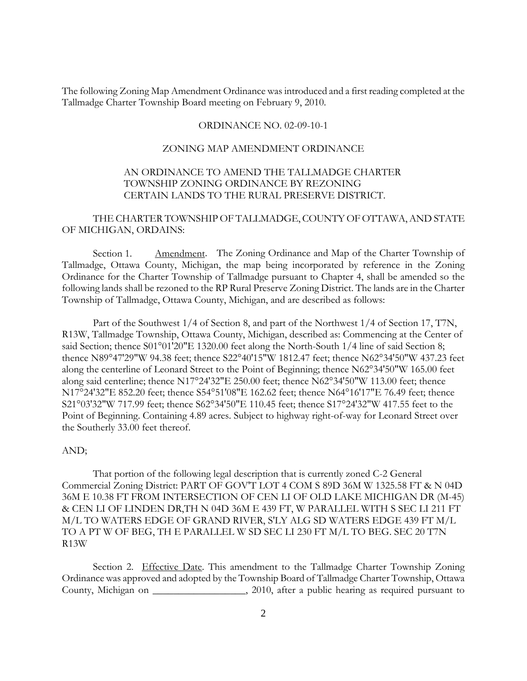The following Zoning Map Amendment Ordinance was introduced and a first reading completed at the Tallmadge Charter Township Board meeting on February 9, 2010.

#### ORDINANCE NO. 02-09-10-1

### ZONING MAP AMENDMENT ORDINANCE

## AN ORDINANCE TO AMEND THE TALLMADGE CHARTER TOWNSHIP ZONING ORDINANCE BY REZONING CERTAIN LANDS TO THE RURAL PRESERVE DISTRICT.

## THE CHARTER TOWNSHIP OF TALLMADGE, COUNTY OF OTTAWA, AND STATE OF MICHIGAN, ORDAINS:

Section 1. Amendment. The Zoning Ordinance and Map of the Charter Township of Tallmadge, Ottawa County, Michigan, the map being incorporated by reference in the Zoning Ordinance for the Charter Township of Tallmadge pursuant to Chapter 4, shall be amended so the following lands shall be rezoned to the RP Rural Preserve Zoning District. The lands are in the Charter Township of Tallmadge, Ottawa County, Michigan, and are described as follows:

Part of the Southwest 1/4 of Section 8, and part of the Northwest 1/4 of Section 17, T7N, R13W, Tallmadge Township, Ottawa County, Michigan, described as: Commencing at the Center of said Section; thence S01°01'20"E 1320.00 feet along the North-South 1/4 line of said Section 8; thence N89°47'29"W 94.38 feet; thence S22°40'15"W 1812.47 feet; thence N62°34'50"W 437.23 feet along the centerline of Leonard Street to the Point of Beginning; thence N62°34'50"W 165.00 feet along said centerline; thence N17°24'32"E 250.00 feet; thence N62°34'50"W 113.00 feet; thence N17°24'32"E 852.20 feet; thence S54°51'08"E 162.62 feet; thence N64°16'17"E 76.49 feet; thence S21°03'32"W 717.99 feet; thence S62°34'50"E 110.45 feet; thence S17°24'32"W 417.55 feet to the Point of Beginning. Containing 4.89 acres. Subject to highway right-of-way for Leonard Street over the Southerly 33.00 feet thereof.

### AND;

That portion of the following legal description that is currently zoned C-2 General Commercial Zoning District: PART OF GOV'T LOT 4 COM S 89D 36M W 1325.58 FT & N 04D 36M E 10.38 FT FROM INTERSECTION OF CEN LI OF OLD LAKE MICHIGAN DR (M-45) & CEN LI OF LINDEN DR,TH N 04D 36M E 439 FT, W PARALLEL WITH S SEC LI 211 FT M/L TO WATERS EDGE OF GRAND RIVER, S'LY ALG SD WATERS EDGE 439 FT M/L TO A PT W OF BEG, TH E PARALLEL W SD SEC LI 230 FT M/L TO BEG. SEC 20 T7N R13W

Section 2. Effective Date. This amendment to the Tallmadge Charter Township Zoning Ordinance was approved and adopted by the Township Board of Tallmadge Charter Township, Ottawa County, Michigan on \_\_\_\_\_\_\_\_\_\_\_\_\_\_\_\_, 2010, after a public hearing as required pursuant to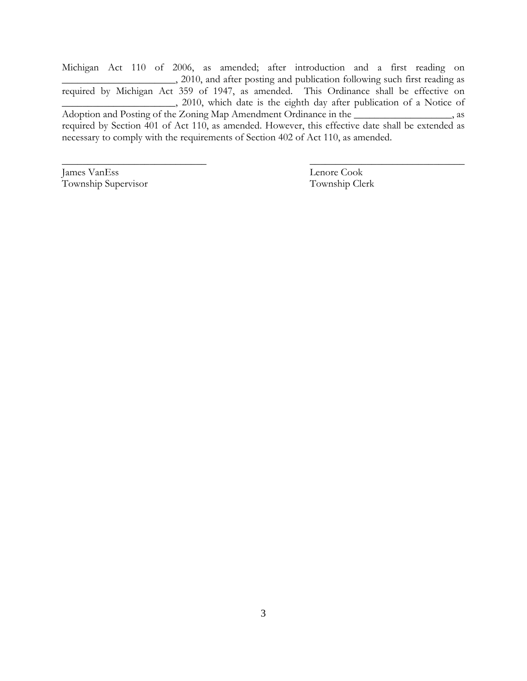Michigan Act 110 of 2006, as amended; after introduction and a first reading on  $\_\_$ , 2010, and after posting and publication following such first reading as required by Michigan Act 359 of 1947, as amended. This Ordinance shall be effective on \_\_\_\_\_\_\_\_\_\_\_\_\_\_\_\_\_\_\_\_\_\_, 2010, which date is the eighth day after publication of a Notice of Adoption and Posting of the Zoning Map Amendment Ordinance in the \_\_\_\_\_\_\_\_\_\_\_\_\_\_\_, as required by Section 401 of Act 110, as amended. However, this effective date shall be extended as necessary to comply with the requirements of Section 402 of Act 110, as amended.

 $\overline{\phantom{a}}$  , and the contract of the contract of the contract of the contract of the contract of the contract of the contract of the contract of the contract of the contract of the contract of the contract of the contrac

James VanEss Lenore Cook Township Supervisor Township Clerk